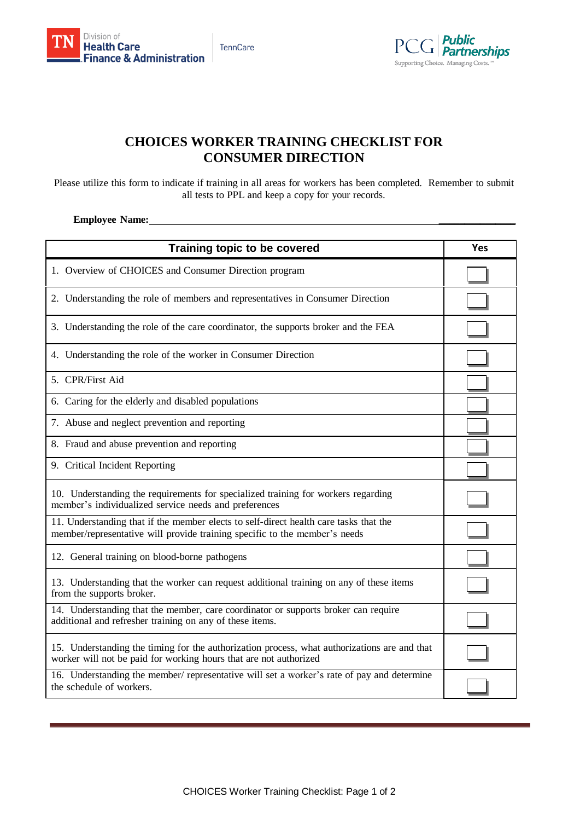

**Public** . am...<br>Partnerships Supporting Choice. Managing Costs.

## **CHOICES WORKER TRAINING CHECKLIST FOR CONSUMER DIRECTION**

Please utilize this form to indicate if training in all areas for workers has been completed. Remember to submit all tests to PPL and keep a copy for your records.

## **Employee Name:**

| Training topic to be covered                                                                                                                                        | Yes |
|---------------------------------------------------------------------------------------------------------------------------------------------------------------------|-----|
| 1. Overview of CHOICES and Consumer Direction program                                                                                                               |     |
| 2. Understanding the role of members and representatives in Consumer Direction                                                                                      |     |
| 3. Understanding the role of the care coordinator, the supports broker and the FEA                                                                                  |     |
| 4. Understanding the role of the worker in Consumer Direction                                                                                                       |     |
| 5. CPR/First Aid                                                                                                                                                    |     |
| 6. Caring for the elderly and disabled populations                                                                                                                  |     |
| 7. Abuse and neglect prevention and reporting                                                                                                                       |     |
| 8. Fraud and abuse prevention and reporting                                                                                                                         |     |
| 9. Critical Incident Reporting                                                                                                                                      |     |
| 10. Understanding the requirements for specialized training for workers regarding<br>member's individualized service needs and preferences                          |     |
| 11. Understanding that if the member elects to self-direct health care tasks that the<br>member/representative will provide training specific to the member's needs |     |
| 12. General training on blood-borne pathogens                                                                                                                       |     |
| 13. Understanding that the worker can request additional training on any of these items<br>from the supports broker.                                                |     |
| 14. Understanding that the member, care coordinator or supports broker can require<br>additional and refresher training on any of these items.                      |     |
| 15. Understanding the timing for the authorization process, what authorizations are and that<br>worker will not be paid for working hours that are not authorized   |     |
| 16. Understanding the member/ representative will set a worker's rate of pay and determine<br>the schedule of workers.                                              |     |